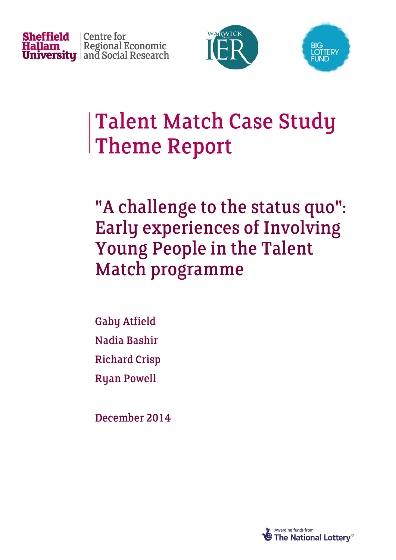





## **Talent Match Case Study Theme Report**

"A challenge to the status quo": **Early experiences of Involving Young People in the Talent** Match programme

**Gaby Atfield** Nadia Bashir **Richard Crisp Ryan Powell** 

December 2014

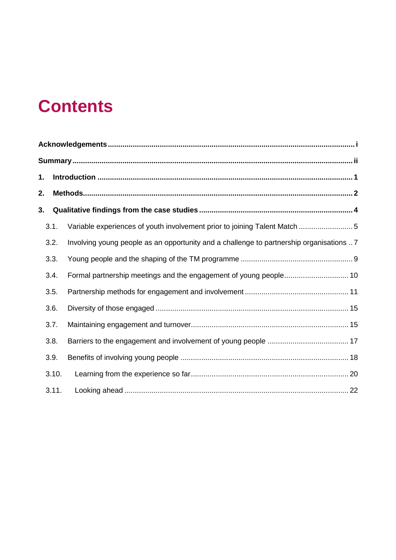## **Contents**

| 1. |       |                                                                                         |  |  |  |  |  |  |
|----|-------|-----------------------------------------------------------------------------------------|--|--|--|--|--|--|
| 2. |       |                                                                                         |  |  |  |  |  |  |
| 3. |       |                                                                                         |  |  |  |  |  |  |
|    | 3.1.  | Variable experiences of youth involvement prior to joining Talent Match  5              |  |  |  |  |  |  |
|    | 3.2.  | Involving young people as an opportunity and a challenge to partnership organisations 7 |  |  |  |  |  |  |
|    | 3.3.  |                                                                                         |  |  |  |  |  |  |
|    | 3.4.  |                                                                                         |  |  |  |  |  |  |
|    | 3.5.  |                                                                                         |  |  |  |  |  |  |
|    | 3.6.  |                                                                                         |  |  |  |  |  |  |
|    | 3.7.  |                                                                                         |  |  |  |  |  |  |
|    | 3.8.  |                                                                                         |  |  |  |  |  |  |
|    | 3.9.  |                                                                                         |  |  |  |  |  |  |
|    | 3.10. |                                                                                         |  |  |  |  |  |  |
|    | 3.11. |                                                                                         |  |  |  |  |  |  |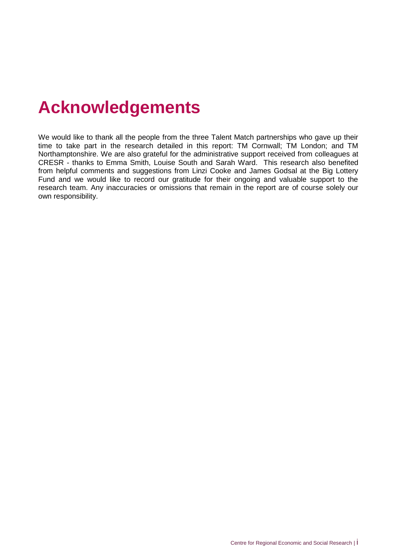## <span id="page-2-0"></span>**Acknowledgements**

We would like to thank all the people from the three Talent Match partnerships who gave up their time to take part in the research detailed in this report: TM Cornwall; TM London; and TM Northamptonshire. We are also grateful for the administrative support received from colleagues at CRESR - thanks to Emma Smith, Louise South and Sarah Ward. This research also benefited from helpful comments and suggestions from Linzi Cooke and James Godsal at the Big Lottery Fund and we would like to record our gratitude for their ongoing and valuable support to the research team. Any inaccuracies or omissions that remain in the report are of course solely our own responsibility.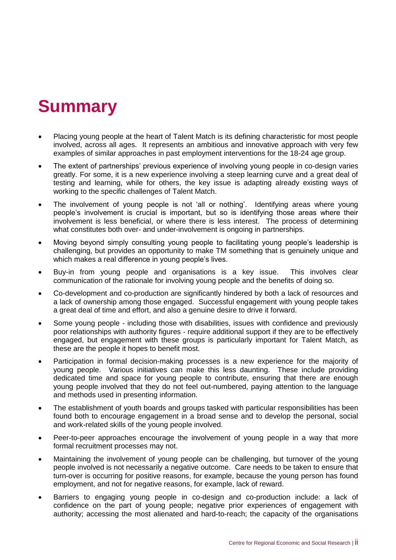## <span id="page-3-0"></span>**Summary**

- Placing young people at the heart of Talent Match is its defining characteristic for most people involved, across all ages. It represents an ambitious and innovative approach with very few examples of similar approaches in past employment interventions for the 18-24 age group.
- The extent of partnerships' previous experience of involving young people in co-design varies greatly. For some, it is a new experience involving a steep learning curve and a great deal of testing and learning, while for others, the key issue is adapting already existing ways of working to the specific challenges of Talent Match.
- The involvement of young people is not 'all or nothing'. Identifying areas where young people's involvement is crucial is important, but so is identifying those areas where their involvement is less beneficial, or where there is less interest. The process of determining what constitutes both over- and under-involvement is ongoing in partnerships.
- Moving beyond simply consulting young people to facilitating young people's leadership is challenging, but provides an opportunity to make TM something that is genuinely unique and which makes a real difference in young people's lives.
- Buy-in from young people and organisations is a key issue. This involves clear communication of the rationale for involving young people and the benefits of doing so.
- Co-development and co-production are significantly hindered by both a lack of resources and a lack of ownership among those engaged. Successful engagement with young people takes a great deal of time and effort, and also a genuine desire to drive it forward.
- Some young people including those with disabilities, issues with confidence and previously poor relationships with authority figures - require additional support if they are to be effectively engaged, but engagement with these groups is particularly important for Talent Match, as these are the people it hopes to benefit most.
- Participation in formal decision-making processes is a new experience for the majority of young people. Various initiatives can make this less daunting. These include providing dedicated time and space for young people to contribute, ensuring that there are enough young people involved that they do not feel out-numbered, paying attention to the language and methods used in presenting information.
- The establishment of youth boards and groups tasked with particular responsibilities has been found both to encourage engagement in a broad sense and to develop the personal, social and work-related skills of the young people involved.
- Peer-to-peer approaches encourage the involvement of young people in a way that more formal recruitment processes may not.
- Maintaining the involvement of young people can be challenging, but turnover of the young people involved is not necessarily a negative outcome. Care needs to be taken to ensure that turn-over is occurring for positive reasons, for example, because the young person has found employment, and not for negative reasons, for example, lack of reward.
- Barriers to engaging young people in co-design and co-production include: a lack of confidence on the part of young people; negative prior experiences of engagement with authority; accessing the most alienated and hard-to-reach; the capacity of the organisations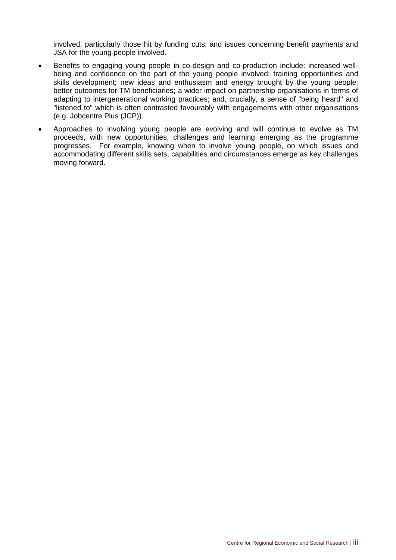involved, particularly those hit by funding cuts; and issues concerning benefit payments and JSA for the young people involved.

- Benefits to engaging young people in co-design and co-production include: increased wellbeing and confidence on the part of the young people involved; training opportunities and skills development; new ideas and enthusiasm and energy brought by the young people; better outcomes for TM beneficiaries; a wider impact on partnership organisations in terms of adapting to intergenerational working practices; and, crucially, a sense of "being heard" and "listened to" which is often contrasted favourably with engagements with other organisations (e.g. Jobcentre Plus (JCP)).
- Approaches to involving young people are evolving and will continue to evolve as TM proceeds, with new opportunities, challenges and learning emerging as the programme progresses. For example, knowing when to involve young people, on which issues and accommodating different skills sets, capabilities and circumstances emerge as key challenges moving forward.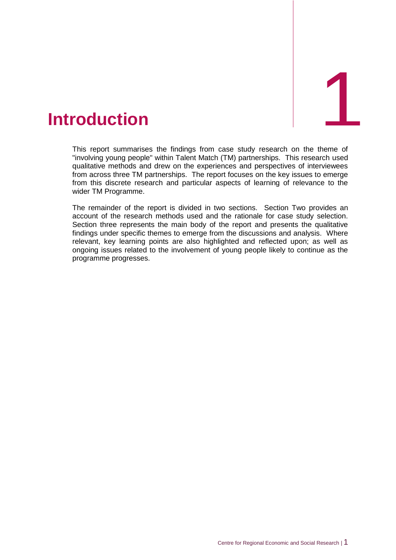<span id="page-5-0"></span>

This report summarises the findings from case study research on the theme of "involving young people" within Talent Match (TM) partnerships. This research used qualitative methods and drew on the experiences and perspectives of interviewees from across three TM partnerships. The report focuses on the key issues to emerge from this discrete research and particular aspects of learning of relevance to the wider TM Programme.

The remainder of the report is divided in two sections. Section Two provides an account of the research methods used and the rationale for case study selection. Section three represents the main body of the report and presents the qualitative findings under specific themes to emerge from the discussions and analysis. Where relevant, key learning points are also highlighted and reflected upon; as well as ongoing issues related to the involvement of young people likely to continue as the programme progresses.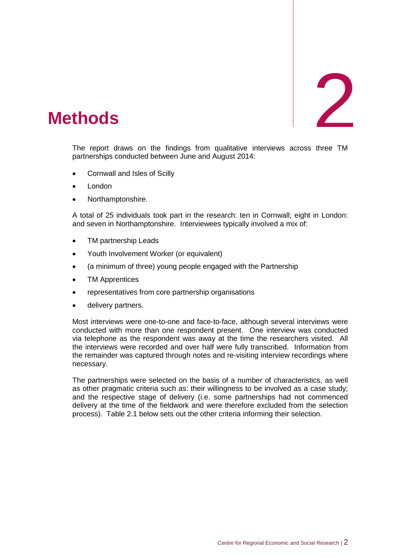# 2

## <span id="page-6-0"></span>2. **Methods**

The report draws on the findings from qualitative interviews across three TM partnerships conducted between June and August 2014:

- Cornwall and Isles of Scilly
- London
- Northamptonshire.

A total of 25 individuals took part in the research: ten in Cornwall; eight in London: and seven in Northamptonshire. Interviewees typically involved a mix of:

- TM partnership Leads
- Youth Involvement Worker (or equivalent)
- (a minimum of three) young people engaged with the Partnership
- TM Apprentices
- representatives from core partnership organisations
- delivery partners.

Most interviews were one-to-one and face-to-face, although several interviews were conducted with more than one respondent present. One interview was conducted via telephone as the respondent was away at the time the researchers visited. All the interviews were recorded and over half were fully transcribed. Information from the remainder was captured through notes and re-visiting interview recordings where necessary.

The partnerships were selected on the basis of a number of characteristics, as well as other pragmatic criteria such as: their willingness to be involved as a case study; and the respective stage of delivery (i.e. some partnerships had not commenced delivery at the time of the fieldwork and were therefore excluded from the selection process). Table 2.1 below sets out the other criteria informing their selection.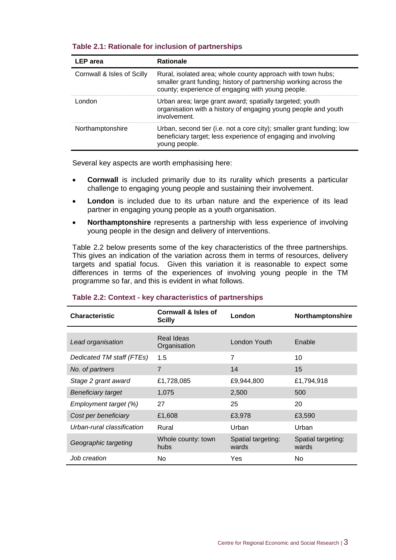| $19000$ and $1110000$ and $19100000$ and $191000$ and $1000$ |                                                                                                                                                                                      |  |  |  |  |  |
|--------------------------------------------------------------|--------------------------------------------------------------------------------------------------------------------------------------------------------------------------------------|--|--|--|--|--|
| <b>LEP</b> area                                              | <b>Rationale</b>                                                                                                                                                                     |  |  |  |  |  |
| Cornwall & Isles of Scilly                                   | Rural, isolated area; whole county approach with town hubs;<br>smaller grant funding; history of partnership working across the<br>county; experience of engaging with young people. |  |  |  |  |  |
| London                                                       | Urban area; large grant award; spatially targeted; youth<br>organisation with a history of engaging young people and youth<br>involvement.                                           |  |  |  |  |  |
| Northamptonshire                                             | Urban, second tier (i.e. not a core city); smaller grant funding; low<br>beneficiary target; less experience of engaging and involving                                               |  |  |  |  |  |

#### **Table 2.1: Rationale for inclusion of partnerships**

Several key aspects are worth emphasising here:

young people.

- **Cornwall** is included primarily due to its rurality which presents a particular challenge to engaging young people and sustaining their involvement.
- **London** is included due to its urban nature and the experience of its lead partner in engaging young people as a youth organisation.
- **Northamptonshire** represents a partnership with less experience of involving young people in the design and delivery of interventions.

Table 2.2 below presents some of the key characteristics of the three partnerships. This gives an indication of the variation across them in terms of resources, delivery targets and spatial focus. Given this variation it is reasonable to expect some differences in terms of the experiences of involving young people in the TM programme so far, and this is evident in what follows.

| <b>Characteristic</b>      | Cornwall & Isles of<br><b>Scilly</b> | London                      | Northamptonshire            |
|----------------------------|--------------------------------------|-----------------------------|-----------------------------|
|                            |                                      |                             |                             |
| Lead organisation          | Real Ideas<br>Organisation           | London Youth                | Enable                      |
| Dedicated TM staff (FTEs)  | 1.5                                  | $\overline{7}$              | 10                          |
| No. of partners            | 7                                    | 14                          | 15                          |
| Stage 2 grant award        | £1,728,085                           | £9,944,800                  | £1,794,918                  |
| <b>Beneficiary target</b>  | 1,075                                | 2,500                       | 500                         |
| Employment target (%)      | 27                                   | 25                          | 20                          |
| Cost per beneficiary       | £1,608                               | £3,978                      | £3,590                      |
| Urban-rural classification | Rural                                | Urban                       | Urban                       |
| Geographic targeting       | Whole county: town<br>hubs           | Spatial targeting:<br>wards | Spatial targeting:<br>wards |
| Job creation               | No.                                  | Yes                         | No                          |

#### **Table 2.2: Context - key characteristics of partnerships**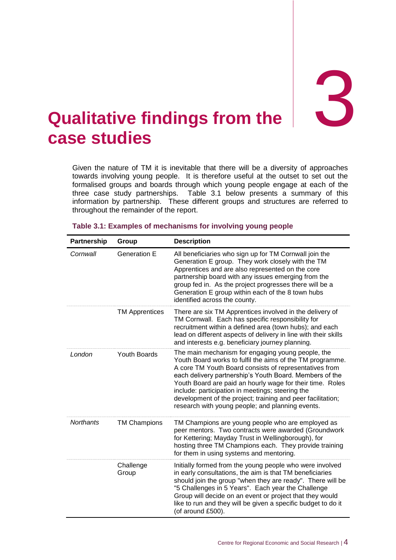**the** 3

## <span id="page-8-0"></span>**Qualitative findings from the case studies**

Given the nature of TM it is inevitable that there will be a diversity of approaches towards involving young people. It is therefore useful at the outset to set out the formalised groups and boards through which young people engage at each of the three case study partnerships. Table 3.1 below presents a summary of this information by partnership. These different groups and structures are referred to throughout the remainder of the report.

| Partnership      | Group                 | <b>Description</b>                                                                                                                                                                                                                                                                                                                                                                                                                                                      |
|------------------|-----------------------|-------------------------------------------------------------------------------------------------------------------------------------------------------------------------------------------------------------------------------------------------------------------------------------------------------------------------------------------------------------------------------------------------------------------------------------------------------------------------|
| Cornwall         | <b>Generation E</b>   | All beneficiaries who sign up for TM Cornwall join the<br>Generation E group. They work closely with the TM<br>Apprentices and are also represented on the core<br>partnership board with any issues emerging from the<br>group fed in. As the project progresses there will be a<br>Generation E group within each of the 8 town hubs<br>identified across the county.                                                                                                 |
|                  | <b>TM Apprentices</b> | There are six TM Apprentices involved in the delivery of<br>TM Cornwall. Each has specific responsibility for<br>recruitment within a defined area (town hubs); and each<br>lead on different aspects of delivery in line with their skills<br>and interests e.g. beneficiary journey planning.                                                                                                                                                                         |
| London           | <b>Youth Boards</b>   | The main mechanism for engaging young people, the<br>Youth Board works to fulfil the aims of the TM programme.<br>A core TM Youth Board consists of representatives from<br>each delivery partnership's Youth Board. Members of the<br>Youth Board are paid an hourly wage for their time. Roles<br>include: participation in meetings; steering the<br>development of the project; training and peer facilitation;<br>research with young people; and planning events. |
| <b>Northants</b> | <b>TM Champions</b>   | TM Champions are young people who are employed as<br>peer mentors. Two contracts were awarded (Groundwork<br>for Kettering; Mayday Trust in Wellingborough), for<br>hosting three TM Champions each. They provide training<br>for them in using systems and mentoring.                                                                                                                                                                                                  |
|                  | Challenge<br>Group    | Initially formed from the young people who were involved<br>in early consultations, the aim is that TM beneficiaries<br>should join the group "when they are ready". There will be<br>"5 Challenges in 5 Years". Each year the Challenge<br>Group will decide on an event or project that they would<br>like to run and they will be given a specific budget to do it<br>(of around £500).                                                                              |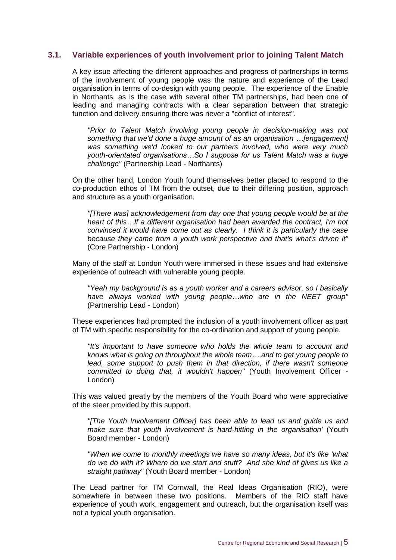#### <span id="page-9-0"></span>**3.1. Variable experiences of youth involvement prior to joining Talent Match**

A key issue affecting the different approaches and progress of partnerships in terms of the involvement of young people was the nature and experience of the Lead organisation in terms of co-design with young people. The experience of the Enable in Northants, as is the case with several other TM partnerships, had been one of leading and managing contracts with a clear separation between that strategic function and delivery ensuring there was never a "conflict of interest".

*"Prior to Talent Match involving young people in decision-making was not something that we'd done a huge amount of as an organisation …[engagement] was something we'd looked to our partners involved, who were very much youth-orientated organisations…So I suppose for us Talent Match was a huge challenge"* (Partnership Lead - Northants)

On the other hand, London Youth found themselves better placed to respond to the co-production ethos of TM from the outset, due to their differing position, approach and structure as a youth organisation.

*"[There was] acknowledgement from day one that young people would be at the heart of this…If a different organisation had been awarded the contract, I'm not convinced it would have come out as clearly. I think it is particularly the case because they came from a youth work perspective and that's what's driven it"*  (Core Partnership - London)

Many of the staff at London Youth were immersed in these issues and had extensive experience of outreach with vulnerable young people.

*"Yeah my background is as a youth worker and a careers advisor, so I basically have always worked with young people…who are in the NEET group"*  (Partnership Lead - London)

These experiences had prompted the inclusion of a youth involvement officer as part of TM with specific responsibility for the co-ordination and support of young people.

*"It's important to have someone who holds the whole team to account and knows what is going on throughout the whole team….and to get young people to lead, some support to push them in that direction, if there wasn't someone committed to doing that, it wouldn't happen"* (Youth Involvement Officer - London)

This was valued greatly by the members of the Youth Board who were appreciative of the steer provided by this support.

*"[The Youth Involvement Officer] has been able to lead us and guide us and make sure that youth involvement is hard-hitting in the organisation'* (Youth Board member - London)

*"When we come to monthly meetings we have so many ideas, but it's like 'what do we do with it? Where do we start and stuff? And she kind of gives us like a straight pathway"* (Youth Board member - London)

The Lead partner for TM Cornwall, the Real Ideas Organisation (RIO), were somewhere in between these two positions. Members of the RIO staff have experience of youth work, engagement and outreach, but the organisation itself was not a typical youth organisation.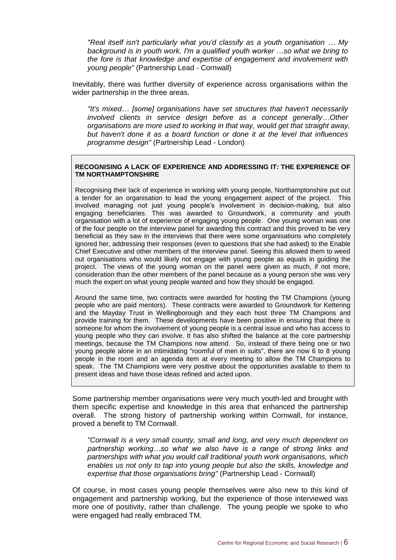*"Real itself isn't particularly what you'd classify as a youth organisation … My background is in youth work, I'm a qualified youth worker …so what we bring to the fore is that knowledge and expertise of engagement and involvement with young people"* (Partnership Lead - Cornwall)

Inevitably, there was further diversity of experience across organisations within the wider partnership in the three areas.

*"It's mixed… [some] organisations have set structures that haven't necessarily involved clients in service design before as a concept generally…Other organisations are more used to working in that way, would get that straight away, but haven't done it as a board function or done it at the level that influences programme design"* (Partnership Lead - London)

#### **RECOGNISING A LACK OF EXPERIENCE AND ADDRESSING IT: THE EXPERIENCE OF TM NORTHAMPTONSHIRE**

Recognising their lack of experience in working with young people, Northamptonshire put out a tender for an organisation to lead the young engagement aspect of the project. This involved managing not just young people's involvement in decision-making, but also engaging beneficiaries. This was awarded to Groundwork, a community and youth organisation with a lot of experience of engaging young people. One young woman was one of the four people on the interview panel for awarding this contract and this proved to be very beneficial as they saw in the interviews that there were some organisations who completely ignored her, addressing their responses (even to questions that she had asked) to the Enable Chief Executive and other members of the interview panel. Seeing this allowed them to weed out organisations who would likely not engage with young people as equals in guiding the project. The views of the young woman on the panel were given as much, if not more, consideration than the other members of the panel because as a young person she was very much the expert on what young people wanted and how they should be engaged.

Around the same time, two contracts were awarded for hosting the TM Champions (young people who are paid mentors). These contracts were awarded to Groundwork for Kettering and the Mayday Trust in Wellingborough and they each host three TM Champions and provide training for them. These developments have been positive in ensuring that there is someone for whom the involvement of young people is a central issue and who has access to young people who they can involve. It has also shifted the balance at the core partnership meetings, because the TM Champions now attend. So, instead of there being one or two young people alone in an intimidating "roomful of men in suits", there are now 6 to 8 young people in the room and an agenda item at every meeting to allow the TM Champions to speak. The TM Champions were very positive about the opportunities available to them to present ideas and have those ideas refined and acted upon.

Some partnership member organisations *were* very much youth-led and brought with them specific expertise and knowledge in this area that enhanced the partnership overall. The strong history of partnership working within Cornwall, for instance, proved a benefit to TM Cornwall.

*"Cornwall is a very small county, small and long, and very much dependent on partnership working…so what we also have is a range of strong links and partnerships with what you would call traditional youth work organisations, which enables us not only to tap into young people but also the skills, knowledge and expertise that those organisations bring"* (Partnership Lead - Cornwall)

Of course, in most cases young people themselves were also new to this kind of engagement and partnership working, but the experience of those interviewed was more one of positivity, rather than challenge. The young people we spoke to who were engaged had really embraced TM.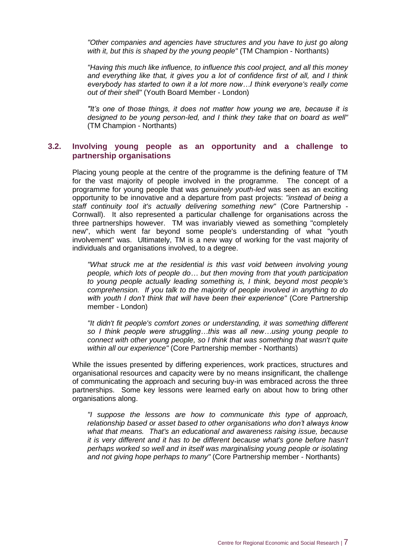*"Other companies and agencies have structures and you have to just go along with it, but this is shaped by the young people"* (TM Champion - Northants)

*"Having this much like influence, to influence this cool project, and all this money and everything like that, it gives you a lot of confidence first of all, and I think everybody has started to own it a lot more now…I think everyone's really come out of their shell"* (Youth Board Member - London)

*"It's one of those things, it does not matter how young we are, because it is designed to be young person-led, and I think they take that on board as well"*  (TM Champion - Northants)

#### <span id="page-11-0"></span>**3.2. Involving young people as an opportunity and a challenge to partnership organisations**

Placing young people at the centre of the programme is the defining feature of TM for the vast majority of people involved in the programme. The concept of a programme for young people that was *genuinely youth-led* was seen as an exciting opportunity to be innovative and a departure from past projects: *"instead of being a staff continuity tool it's actually delivering something new"* (Core Partnership - Cornwall). It also represented a particular challenge for organisations across the three partnerships however. TM was invariably viewed as something "completely new", which went far beyond some people's understanding of what "youth involvement" was. Ultimately, TM is a new way of working for the vast majority of individuals and organisations involved, to a degree.

*"What struck me at the residential is this vast void between involving young people, which lots of people do… but then moving from that youth participation to young people actually leading something is, I think, beyond most people's comprehension. If you talk to the majority of people involved in anything to do with youth I don't think that will have been their experience"* (Core Partnership member - London)

*"It didn't fit people's comfort zones or understanding, it was something different so I think people were struggling…this was all new…using young people to connect with other young people, so I think that was something that wasn't quite within all our experience"* (Core Partnership member - Northants)

While the issues presented by differing experiences, work practices, structures and organisational resources and capacity were by no means insignificant, the challenge of communicating the approach and securing buy-in was embraced across the three partnerships. Some key lessons were learned early on about how to bring other organisations along.

*"I suppose the lessons are how to communicate this type of approach, relationship based or asset based to other organisations who don't always know what that means. That's an educational and awareness raising issue, because it is very different and it has to be different because what's gone before hasn't perhaps worked so well and in itself was marginalising young people or isolating and not giving hope perhaps to many"* (Core Partnership member - Northants)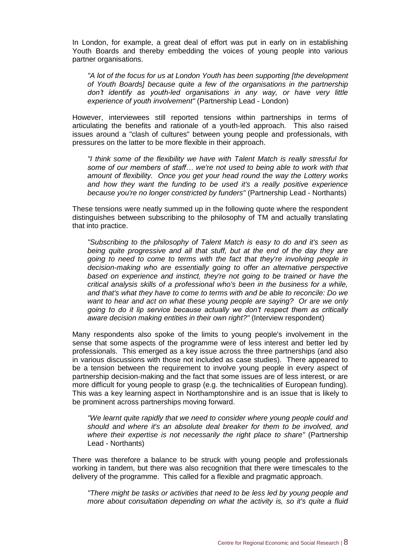In London, for example, a great deal of effort was put in early on in establishing Youth Boards and thereby embedding the voices of young people into various partner organisations.

*"A lot of the focus for us at London Youth has been supporting [the development of Youth Boards] because quite a few of the organisations in the partnership don't identify as youth-led organisations in any way, or have very little experience of youth involvement"* (Partnership Lead - London)

However, interviewees still reported tensions within partnerships in terms of articulating the benefits and rationale of a youth-led approach. This also raised issues around a "clash of cultures" between young people and professionals, with pressures on the latter to be more flexible in their approach.

*"I think some of the flexibility we have with Talent Match is really stressful for some of our members of staff… we're not used to being able to work with that amount of flexibility. Once you get your head round the way the Lottery works and how they want the funding to be used it's a really positive experience because you're no longer constricted by funders"* (Partnership Lead - Northants)

These tensions were neatly summed up in the following quote where the respondent distinguishes between subscribing to the philosophy of TM and actually translating that into practice.

*"Subscribing to the philosophy of Talent Match is easy to do and it's seen as being quite progressive and all that stuff, but at the end of the day they are going to need to come to terms with the fact that they're involving people in decision-making who are essentially going to offer an alternative perspective based on experience and instinct, they're not going to be trained or have the critical analysis skills of a professional who's been in the business for a while, and that's what they have to come to terms with and be able to reconcile: Do we want to hear and act on what these young people are saying? Or are we only going to do it lip service because actually we don't respect them as critically aware decision making entities in their own right?"* (Interview respondent)

Many respondents also spoke of the limits to young people's involvement in the sense that some aspects of the programme were of less interest and better led by professionals. This emerged as a key issue across the three partnerships (and also in various discussions with those not included as case studies). There appeared to be a tension between the requirement to involve young people in every aspect of partnership decision-making and the fact that some issues are of less interest, or are more difficult for young people to grasp (e.g. the technicalities of European funding). This was a key learning aspect in Northamptonshire and is an issue that is likely to be prominent across partnerships moving forward.

*"We learnt quite rapidly that we need to consider where young people could and should and where it's an absolute deal breaker for them to be involved, and where their expertise is not necessarily the right place to share"* (Partnership Lead - Northants)

There was therefore a balance to be struck with young people and professionals working in tandem, but there was also recognition that there were timescales to the delivery of the programme. This called for a flexible and pragmatic approach.

*"There might be tasks or activities that need to be less led by young people and more about consultation depending on what the activity is, so it's quite a fluid*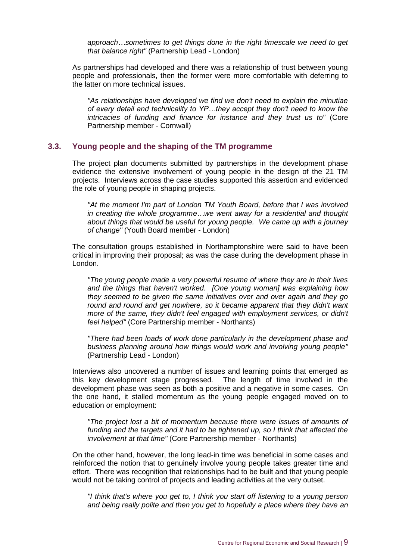*approach…sometimes to get things done in the right timescale we need to get that balance right"* (Partnership Lead - London)

As partnerships had developed and there was a relationship of trust between young people and professionals, then the former were more comfortable with deferring to the latter on more technical issues.

*"As relationships have developed we find we don't need to explain the minutiae of every detail and technicality to YP…they accept they don't need to know the intricacies of funding and finance for instance and they trust us to"* (Core Partnership member - Cornwall)

#### <span id="page-13-0"></span>**3.3. Young people and the shaping of the TM programme**

The project plan documents submitted by partnerships in the development phase evidence the extensive involvement of young people in the design of the 21 TM projects. Interviews across the case studies supported this assertion and evidenced the role of young people in shaping projects.

*"At the moment I'm part of London TM Youth Board, before that I was involved in creating the whole programme…we went away for a residential and thought about things that would be useful for young people. We came up with a journey of change"* (Youth Board member - London)

The consultation groups established in Northamptonshire were said to have been critical in improving their proposal; as was the case during the development phase in London.

*"The young people made a very powerful resume of where they are in their lives and the things that haven't worked. [One young woman] was explaining how they seemed to be given the same initiatives over and over again and they go round and round and get nowhere, so it became apparent that they didn't want more of the same, they didn't feel engaged with employment services, or didn't feel helped"* (Core Partnership member - Northants)

*"There had been loads of work done particularly in the development phase and business planning around how things would work and involving young people"*  (Partnership Lead - London)

Interviews also uncovered a number of issues and learning points that emerged as this key development stage progressed. The length of time involved in the development phase was seen as both a positive and a negative in some cases. On the one hand, it stalled momentum as the young people engaged moved on to education or employment:

*"The project lost a bit of momentum because there were issues of amounts of funding and the targets and it had to be tightened up, so I think that affected the involvement at that time"* (Core Partnership member - Northants)

On the other hand, however, the long lead-in time was beneficial in some cases and reinforced the notion that to genuinely involve young people takes greater time and effort. There was recognition that relationships had to be built and that young people would not be taking control of projects and leading activities at the very outset.

*"I think that's where you get to, I think you start off listening to a young person and being really polite and then you get to hopefully a place where they have an*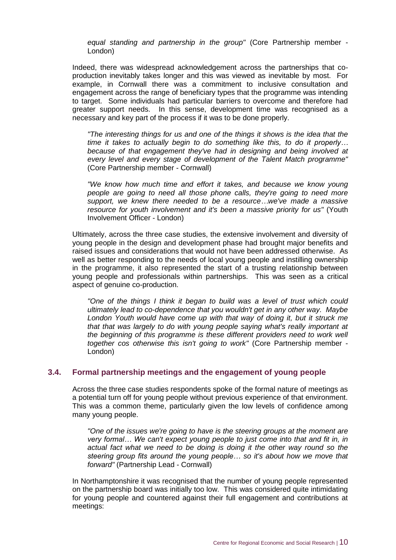*equal standing and partnership in the group"* (Core Partnership member - London)

Indeed, there was widespread acknowledgement across the partnerships that coproduction inevitably takes longer and this was viewed as inevitable by most. For example, in Cornwall there was a commitment to inclusive consultation and engagement across the range of beneficiary types that the programme was intending to target. Some individuals had particular barriers to overcome and therefore had greater support needs. In this sense, development time was recognised as a necessary and key part of the process if it was to be done properly.

*"The interesting things for us and one of the things it shows is the idea that the time it takes to actually begin to do something like this, to do it properly… because of that engagement they've had in designing and being involved at every level and every stage of development of the Talent Match programme"* (Core Partnership member - Cornwall)

*"We know how much time and effort it takes, and because we know young people are going to need all those phone calls, they're going to need more support, we knew there needed to be a resource…we've made a massive resource for youth involvement and it's been a massive priority for us"* (Youth Involvement Officer - London)

Ultimately, across the three case studies, the extensive involvement and diversity of young people in the design and development phase had brought major benefits and raised issues and considerations that would not have been addressed otherwise. As well as better responding to the needs of local young people and instilling ownership in the programme, it also represented the start of a trusting relationship between young people and professionals within partnerships. This was seen as a critical aspect of genuine co-production.

*"One of the things I think it began to build was a level of trust which could ultimately lead to co-dependence that you wouldn't get in any other way. Maybe*  London Youth would have come up with that way of doing it, but it struck me *that that was largely to do with young people saying what's really important at the beginning of this programme is these different providers need to work well together cos otherwise this isn't going to work"* (Core Partnership member -London)

#### <span id="page-14-0"></span>**3.4. Formal partnership meetings and the engagement of young people**

Across the three case studies respondents spoke of the formal nature of meetings as a potential turn off for young people without previous experience of that environment. This was a common theme, particularly given the low levels of confidence among many young people.

*"One of the issues we're going to have is the steering groups at the moment are very formal… We can't expect young people to just come into that and fit in, in actual fact what we need to be doing is doing it the other way round so the steering group fits around the young people… so it's about how we move that forward"* (Partnership Lead - Cornwall)

In Northamptonshire it was recognised that the number of young people represented on the partnership board was initially too low. This was considered quite intimidating for young people and countered against their full engagement and contributions at meetings: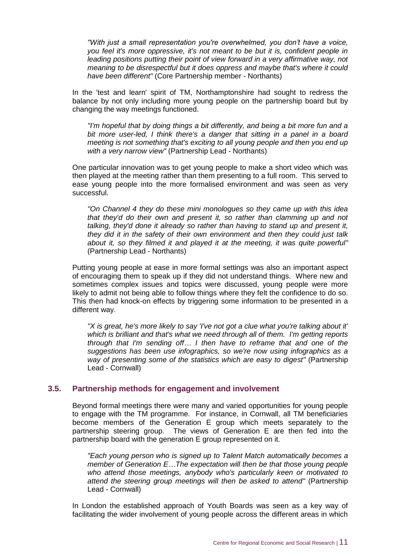*"With just a small representation you're overwhelmed, you don't have a voice, you feel it's more oppressive, it's not meant to be but it is, confident people in leading positions putting their point of view forward in a very affirmative way, not meaning to be disrespectful but it does oppress and maybe that's where it could have been different"* (Core Partnership member - Northants)

In the 'test and learn' spirit of TM, Northamptonshire had sought to redress the balance by not only including more young people on the partnership board but by changing the way meetings functioned.

*"I'm hopeful that by doing things a bit differently, and being a bit more fun and a bit more user-led, I think there's a danger that sitting in a panel in a board meeting is not something that's exciting to all young people and then you end up with a very narrow view"* (Partnership Lead - Northants)

One particular innovation was to get young people to make a short video which was then played at the meeting rather than them presenting to a full room. This served to ease young people into the more formalised environment and was seen as very successful.

*"On Channel 4 they do these mini monologues so they came up with this idea that they'd do their own and present it, so rather than clamming up and not talking, they'd done it already so rather than having to stand up and present it, they did it in the safety of their own environment and then they could just talk about it, so they filmed it and played it at the meeting, it was quite powerful"*  (Partnership Lead - Northants)

Putting young people at ease in more formal settings was also an important aspect of encouraging them to speak up if they did not understand things. Where new and sometimes complex issues and topics were discussed, young people were more likely to admit not being able to follow things where they felt the confidence to do so. This then had knock-on effects by triggering some information to be presented in a different way.

*"X is great, he's more likely to say 'I've not got a clue what you're talking about it' which is brilliant and that's what we need through all of them. I'm getting reports through that I'm sending off… I then have to reframe that and one of the suggestions has been use infographics, so we're now using infographics as a way of presenting some of the statistics which are easy to digest"* (Partnership Lead - Cornwall)

#### <span id="page-15-0"></span>**3.5. Partnership methods for engagement and involvement**

Beyond formal meetings there were many and varied opportunities for young people to engage with the TM programme. For instance, in Cornwall, all TM beneficiaries become members of the Generation E group which meets separately to the partnership steering group. The views of Generation E are then fed into the partnership board with the generation E group represented on it.

*"Each young person who is signed up to Talent Match automatically becomes a member of Generation E…The expectation will then be that those young people who attend those meetings, anybody who's particularly keen or motivated to attend the steering group meetings will then be asked to attend"* (Partnership Lead - Cornwall)

In London the established approach of Youth Boards was seen as a key way of facilitating the wider involvement of young people across the different areas in which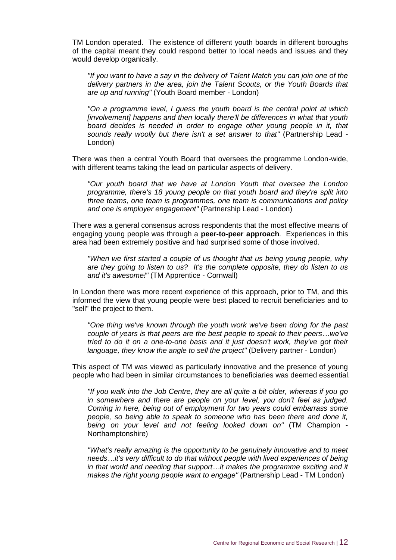TM London operated. The existence of different youth boards in different boroughs of the capital meant they could respond better to local needs and issues and they would develop organically.

*"If you want to have a say in the delivery of Talent Match you can join one of the delivery partners in the area, join the Talent Scouts, or the Youth Boards that are up and running"* (Youth Board member - London)

*"On a programme level, I guess the youth board is the central point at which [involvement] happens and then locally there'll be differences in what that youth board decides is needed in order to engage other young people in it, that*  sounds really woolly but there isn't a set answer to that" (Partnership Lead -London)

There was then a central Youth Board that oversees the programme London-wide, with different teams taking the lead on particular aspects of delivery.

*"Our youth board that we have at London Youth that oversee the London programme, there's 18 young people on that youth board and they're split into three teams, one team is programmes, one team is communications and policy and one is employer engagement"* (Partnership Lead - London)

There was a general consensus across respondents that the most effective means of engaging young people was through a **peer-to-peer approach**. Experiences in this area had been extremely positive and had surprised some of those involved.

*"When we first started a couple of us thought that us being young people, why are they going to listen to us? It's the complete opposite, they do listen to us and it's awesome!"* (TM Apprentice - Cornwall)

In London there was more recent experience of this approach, prior to TM, and this informed the view that young people were best placed to recruit beneficiaries and to "sell" the project to them.

*"One thing we've known through the youth work we've been doing for the past couple of years is that peers are the best people to speak to their peers…we've tried to do it on a one-to-one basis and it just doesn't work, they've got their language, they know the angle to sell the project"* (Delivery partner - London)

This aspect of TM was viewed as particularly innovative and the presence of young people who had been in similar circumstances to beneficiaries was deemed essential.

*"If you walk into the Job Centre, they are all quite a bit older, whereas if you go in somewhere and there are people on your level, you don't feel as judged. Coming in here, being out of employment for two years could embarrass some people, so being able to speak to someone who has been there and done it, being on your level and not feeling looked down on"* (TM Champion - Northamptonshire)

*"What's really amazing is the opportunity to be genuinely innovative and to meet needs…it's very difficult to do that without people with lived experiences of being in that world and needing that support…it makes the programme exciting and it makes the right young people want to engage"* (Partnership Lead - TM London)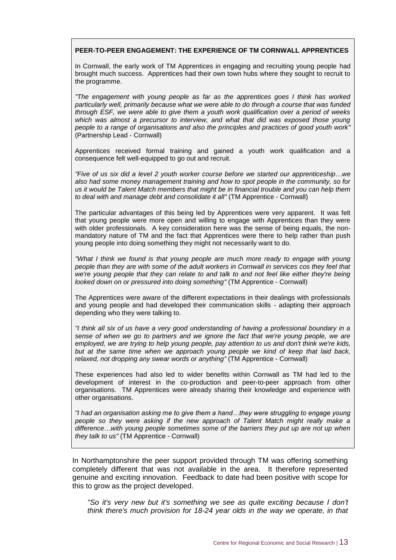#### **PEER-TO-PEER ENGAGEMENT: THE EXPERIENCE OF TM CORNWALL APPRENTICES**

In Cornwall, the early work of TM Apprentices in engaging and recruiting young people had brought much success. Apprentices had their own town hubs where they sought to recruit to the programme.

*"The engagement with young people as far as the apprentices goes I think has worked particularly well, primarily because what we were able to do through a course that was funded through ESF, we were able to give them a youth work qualification over a period of weeks*  which was almost a precursor to interview, and what that did was exposed those young *people to a range of organisations and also the principles and practices of good youth work"*  (Partnership Lead - Cornwall)

Apprentices received formal training and gained a youth work qualification and a consequence felt well-equipped to go out and recruit.

*"Five of us six did a level 2 youth worker course before we started our apprenticeship…we also had some money management training and how to spot people in the community, so for us it would be Talent Match members that might be in financial trouble and you can help them to deal with and manage debt and consolidate it all"* (TM Apprentice - Cornwall)

The particular advantages of this being led by Apprentices were very apparent. It was felt that young people were more open and willing to engage with Apprentices than they were with older professionals. A key consideration here was the sense of being equals, the nonmandatory nature of TM and the fact that Apprentices were there to help rather than push young people into doing something they might not necessarily want to do.

*"What I think we found is that young people are much more ready to engage with young people than they are with some of the adult workers in Cornwall in services cos they feel that we're young people that they can relate to and talk to and not feel like either they're being looked down on or pressured into doing something"* (TM Apprentice - Cornwall)

The Apprentices were aware of the different expectations in their dealings with professionals and young people and had developed their communication skills - adapting their approach depending who they were talking to.

*"I think all six of us have a very good understanding of having a professional boundary in a sense of when we go to partners and we ignore the fact that we're young people, we are employed, we are trying to help young people, pay attention to us and don't think we're kids,*  but at the same time when we approach young people we kind of keep that laid back, *relaxed, not dropping any swear words or anything"* (TM Apprentice - Cornwall)

These experiences had also led to wider benefits within Cornwall as TM had led to the development of interest in the co-production and peer-to-peer approach from other organisations. TM Apprentices were already sharing their knowledge and experience with other organisations.

*"I had an organisation asking me to give them a hand…they were struggling to engage young people so they were asking if the new approach of Talent Match might really make a difference…with young people sometimes some of the barriers they put up are not up when they talk to us"* (TM Apprentice - Cornwall)

In Northamptonshire the peer support provided through TM was offering something completely different that was not available in the area. It therefore represented genuine and exciting innovation. Feedback to date had been positive with scope for this to grow as the project developed.

*"So it's very new but it's something we see as quite exciting because I don't think there's much provision for 18-24 year olds in the way we operate, in that*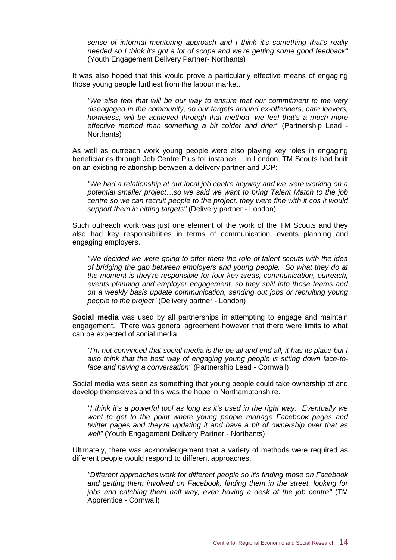*sense of informal mentoring approach and I think it's something that's really needed so I think it's got a lot of scope and we're getting some good feedback"* (Youth Engagement Delivery Partner- Northants)

It was also hoped that this would prove a particularly effective means of engaging those young people furthest from the labour market.

*"We also feel that will be our way to ensure that our commitment to the very disengaged in the community, so our targets around ex-offenders, care leavers, homeless, will be achieved through that method, we feel that's a much more effective method than something a bit colder and drier"* (Partnership Lead - Northants)

As well as outreach work young people were also playing key roles in engaging beneficiaries through Job Centre Plus for instance. In London, TM Scouts had built on an existing relationship between a delivery partner and JCP:

*"We had a relationship at our local job centre anyway and we were working on a potential smaller project…so we said we want to bring Talent Match to the job centre so we can recruit people to the project, they were fine with it cos it would support them in hitting targets"* (Delivery partner - London)

Such outreach work was just one element of the work of the TM Scouts and they also had key responsibilities in terms of communication, events planning and engaging employers.

*"We decided we were going to offer them the role of talent scouts with the idea of bridging the gap between employers and young people. So what they do at the moment is they're responsible for four key areas, communication, outreach, events planning and employer engagement, so they split into those teams and on a weekly basis update communication, sending out jobs or recruiting young people to the project"* (Delivery partner - London)

**Social media** was used by all partnerships in attempting to engage and maintain engagement. There was general agreement however that there were limits to what can be expected of social media.

*"I'm not convinced that social media is the be all and end all, it has its place but I also think that the best way of engaging young people is sitting down face-toface and having a conversation"* (Partnership Lead - Cornwall)

Social media was seen as something that young people could take ownership of and develop themselves and this was the hope in Northamptonshire.

*"I think it's a powerful tool as long as it's used in the right way. Eventually we want to get to the point where young people manage Facebook pages and twitter pages and they're updating it and have a bit of ownership over that as well"* (Youth Engagement Delivery Partner - Northants)

Ultimately, there was acknowledgement that a variety of methods were required as different people would respond to different approaches.

*"Different approaches work for different people so it's finding those on Facebook and getting them involved on Facebook, finding them in the street, looking for jobs and catching them half way, even having a desk at the job centre"* (TM Apprentice - Cornwall)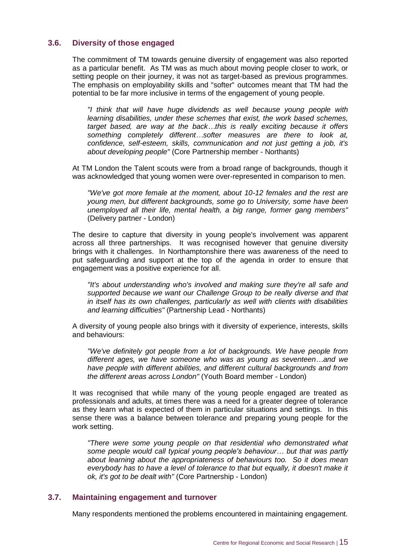### <span id="page-19-0"></span>**3.6. Diversity of those engaged**

The commitment of TM towards genuine diversity of engagement was also reported as a particular benefit. As TM was as much about moving people closer to work, or setting people on their journey, it was not as target-based as previous programmes. The emphasis on employability skills and "softer" outcomes meant that TM had the potential to be far more inclusive in terms of the engagement of young people.

*"I think that will have huge dividends as well because young people with learning disabilities, under these schemes that exist, the work based schemes, target based, are way at the back…this is really exciting because it offers something completely different…softer measures are there to look at, confidence, self-esteem, skills, communication and not just getting a job, it's about developing people"* (Core Partnership member - Northants)

At TM London the Talent scouts were from a broad range of backgrounds, though it was acknowledged that young women were over-represented in comparison to men.

*"We've got more female at the moment, about 10-12 females and the rest are young men, but different backgrounds, some go to University, some have been unemployed all their life, mental health, a big range, former gang members"*  (Delivery partner - London)

The desire to capture that diversity in young people's involvement was apparent across all three partnerships. It was recognised however that genuine diversity brings with it challenges. In Northamptonshire there was awareness of the need to put safeguarding and support at the top of the agenda in order to ensure that engagement was a positive experience for all.

*"It's about understanding who's involved and making sure they're all safe and supported because we want our Challenge Group to be really diverse and that in itself has its own challenges, particularly as well with clients with disabilities and learning difficulties"* (Partnership Lead - Northants)

A diversity of young people also brings with it diversity of experience, interests, skills and behaviours:

*"We've definitely got people from a lot of backgrounds. We have people from different ages, we have someone who was as young as seventeen…and we have people with different abilities, and different cultural backgrounds and from the different areas across London"* (Youth Board member - London)

It was recognised that while many of the young people engaged are treated as professionals and adults, at times there was a need for a greater degree of tolerance as they learn what is expected of them in particular situations and settings. In this sense there was a balance between tolerance and preparing young people for the work setting.

*"There were some young people on that residential who demonstrated what some people would call typical young people's behaviour… but that was partly about learning about the appropriateness of behaviours too. So it does mean everybody has to have a level of tolerance to that but equally, it doesn't make it ok, it's got to be dealt with"* (Core Partnership - London)

#### <span id="page-19-1"></span>**3.7. Maintaining engagement and turnover**

Many respondents mentioned the problems encountered in maintaining engagement.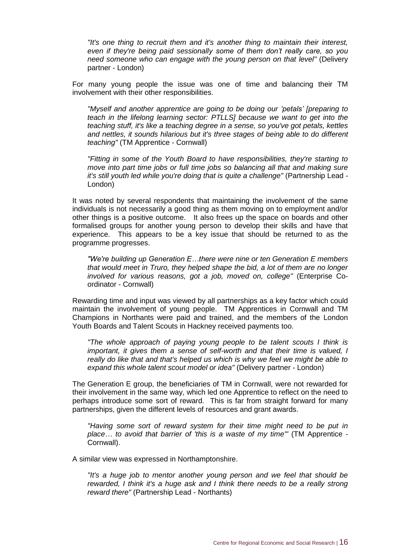*"It's one thing to recruit them and it's another thing to maintain their interest, even if they're being paid sessionally some of them don't really care, so you need someone who can engage with the young person on that level"* (Delivery partner - London)

For many young people the issue was one of time and balancing their TM involvement with their other responsibilities.

*"Myself and another apprentice are going to be doing our 'petals' [preparing to teach in the lifelong learning sector: PTLLS] because we want to get into the teaching stuff, it's like a teaching degree in a sense, so you've got petals, kettles and nettles, it sounds hilarious but it's three stages of being able to do different teaching"* (TM Apprentice - Cornwall)

*"Fitting in some of the Youth Board to have responsibilities, they're starting to move into part time jobs or full time jobs so balancing all that and making sure it's still youth led while you're doing that is quite a challenge"* (Partnership Lead -London)

It was noted by several respondents that maintaining the involvement of the same individuals is not necessarily a good thing as them moving on to employment and/or other things is a positive outcome. It also frees up the space on boards and other formalised groups for another young person to develop their skills and have that experience. This appears to be a key issue that should be returned to as the programme progresses.

*"We're building up Generation E…there were nine or ten Generation E members that would meet in Truro, they helped shape the bid, a lot of them are no longer involved for various reasons, got a job, moved on, college"* (Enterprise Coordinator - Cornwall)

Rewarding time and input was viewed by all partnerships as a key factor which could maintain the involvement of young people. TM Apprentices in Cornwall and TM Champions in Northants were paid and trained, and the members of the London Youth Boards and Talent Scouts in Hackney received payments too.

*"The whole approach of paying young people to be talent scouts I think is important, it gives them a sense of self-worth and that their time is valued, I really do like that and that's helped us which is why we feel we might be able to expand this whole talent scout model or idea"* (Delivery partner - London)

The Generation E group, the beneficiaries of TM in Cornwall, were not rewarded for their involvement in the same way, which led one Apprentice to reflect on the need to perhaps introduce some sort of reward. This is far from straight forward for many partnerships, given the different levels of resources and grant awards.

*"Having some sort of reward system for their time might need to be put in place… to avoid that barrier of 'this is a waste of my time'"* (TM Apprentice - Cornwall).

A similar view was expressed in Northamptonshire.

*"It's a huge job to mentor another young person and we feel that should be rewarded, I think it's a huge ask and I think there needs to be a really strong reward there"* (Partnership Lead - Northants)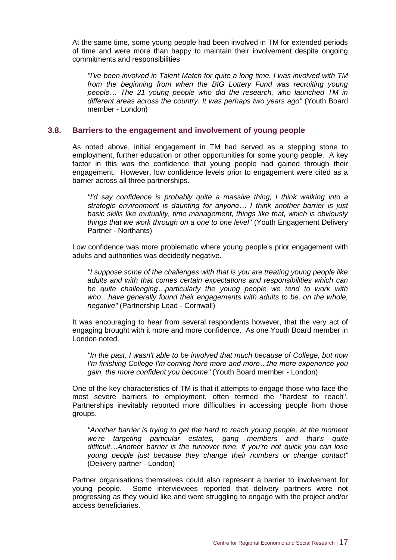At the same time, some young people had been involved in TM for extended periods of time and were more than happy to maintain their involvement despite ongoing commitments and responsibilities

*"I've been involved in Talent Match for quite a long time. I was involved with TM from the beginning from when the BIG Lottery Fund was recruiting young people… The 21 young people who did the research, who launched TM in different areas across the country. It was perhaps two years ago"* (Youth Board member - London)

#### <span id="page-21-0"></span>**3.8. Barriers to the engagement and involvement of young people**

As noted above, initial engagement in TM had served as a stepping stone to employment, further education or other opportunities for some young people. A key factor in this was the confidence that young people had gained through their engagement. However, low confidence levels prior to engagement were cited as a barrier across all three partnerships.

*"I'd say confidence is probably quite a massive thing, I think walking into a strategic environment is daunting for anyone… I think another barrier is just basic skills like mutuality, time management, things like that, which is obviously things that we work through on a one to one level"* (Youth Engagement Delivery Partner - Northants)

Low confidence was more problematic where young people's prior engagement with adults and authorities was decidedly negative.

*"I suppose some of the challenges with that is you are treating young people like adults and with that comes certain expectations and responsibilities which can be quite challenging…particularly the young people we tend to work with who…have generally found their engagements with adults to be, on the whole, negative"* (Partnership Lead - Cornwall)

It was encouraging to hear from several respondents however, that the very act of engaging brought with it more and more confidence. As one Youth Board member in London noted.

*"In the past, I wasn't able to be involved that much because of College, but now I'm finishing College I'm coming here more and more…the more experience you gain, the more confident you become"* (Youth Board member - London)

One of the key characteristics of TM is that it attempts to engage those who face the most severe barriers to employment, often termed the "hardest to reach". Partnerships inevitably reported more difficulties in accessing people from those groups.

*"Another barrier is trying to get the hard to reach young people, at the moment we're targeting particular estates, gang members and that's quite difficult…Another barrier is the turnover time, if you're not quick you can lose young people just because they change their numbers or change contact"*  (Delivery partner - London)

Partner organisations themselves could also represent a barrier to involvement for young people. Some interviewees reported that delivery partners were not progressing as they would like and were struggling to engage with the project and/or access beneficiaries.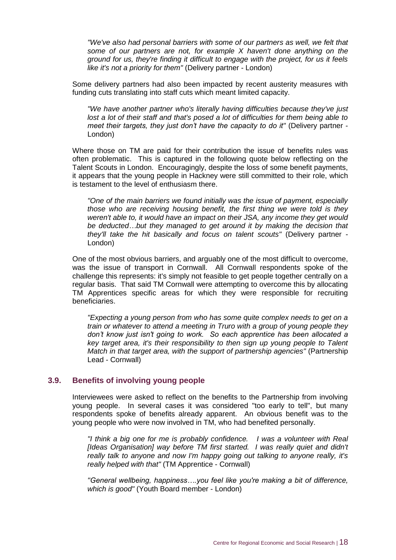*"We've also had personal barriers with some of our partners as well, we felt that some of our partners are not, for example X haven't done anything on the ground for us, they're finding it difficult to engage with the project, for us it feels like it's not a priority for them"* (Delivery partner - London)

Some delivery partners had also been impacted by recent austerity measures with funding cuts translating into staff cuts which meant limited capacity.

*"We have another partner who's literally having difficulties because they've just lost a lot of their staff and that's posed a lot of difficulties for them being able to meet their targets, they just don't have the capacity to do it"* (Delivery partner -London)

Where those on TM are paid for their contribution the issue of benefits rules was often problematic. This is captured in the following quote below reflecting on the Talent Scouts in London. Encouragingly, despite the loss of some benefit payments, it appears that the young people in Hackney were still committed to their role, which is testament to the level of enthusiasm there.

*"One of the main barriers we found initially was the issue of payment, especially those who are receiving housing benefit, the first thing we were told is they weren't able to, it would have an impact on their JSA, any income they get would be deducted…but they managed to get around it by making the decision that they'll take the hit basically and focus on talent scouts"* (Delivery partner - London)

One of the most obvious barriers, and arguably one of the most difficult to overcome, was the issue of transport in Cornwall. All Cornwall respondents spoke of the challenge this represents: it's simply not feasible to get people together centrally on a regular basis. That said TM Cornwall were attempting to overcome this by allocating TM Apprentices specific areas for which they were responsible for recruiting beneficiaries.

*"Expecting a young person from who has some quite complex needs to get on a train or whatever to attend a meeting in Truro with a group of young people they don't know just isn't going to work. So each apprentice has been allocated a key target area, it's their responsibility to then sign up young people to Talent Match in that target area, with the support of partnership agencies"* (Partnership Lead - Cornwall)

#### <span id="page-22-0"></span>**3.9. Benefits of involving young people**

Interviewees were asked to reflect on the benefits to the Partnership from involving young people. In several cases it was considered "too early to tell", but many respondents spoke of benefits already apparent. An obvious benefit was to the young people who were now involved in TM, who had benefited personally.

*"I think a big one for me is probably confidence. I was a volunteer with Real [Ideas Organisation] way before TM first started. I was really quiet and didn't really talk to anyone and now I'm happy going out talking to anyone really, it's really helped with that"* (TM Apprentice - Cornwall)

*"General wellbeing, happiness….you feel like you're making a bit of difference, which is good"* (Youth Board member - London)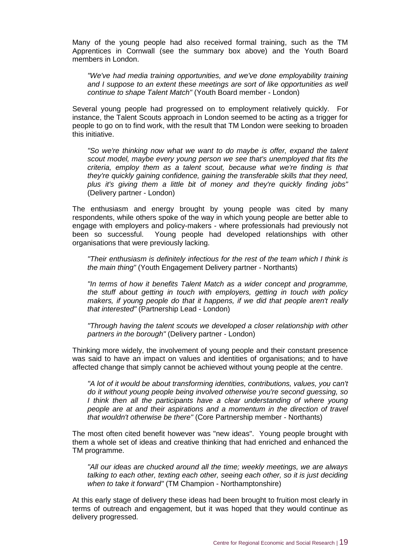Many of the young people had also received formal training, such as the TM Apprentices in Cornwall (see the summary box above) and the Youth Board members in London.

*"We've had media training opportunities, and we've done employability training and I suppose to an extent these meetings are sort of like opportunities as well continue to shape Talent Match"* (Youth Board member - London)

Several young people had progressed on to employment relatively quickly. For instance, the Talent Scouts approach in London seemed to be acting as a trigger for people to go on to find work, with the result that TM London were seeking to broaden this initiative.

"So we're thinking now what we want to do maybe is offer, expand the talent *scout model, maybe every young person we see that's unemployed that fits the criteria, employ them as a talent scout, because what we're finding is that they're quickly gaining confidence, gaining the transferable skills that they need, plus it's giving them a little bit of money and they're quickly finding jobs"*  (Delivery partner - London)

The enthusiasm and energy brought by young people was cited by many respondents, while others spoke of the way in which young people are better able to engage with employers and policy-makers - where professionals had previously not been so successful. Young people had developed relationships with other organisations that were previously lacking.

*"Their enthusiasm is definitely infectious for the rest of the team which I think is the main thing"* (Youth Engagement Delivery partner - Northants)

*"In terms of how it benefits Talent Match as a wider concept and programme, the stuff about getting in touch with employers, getting in touch with policy makers, if young people do that it happens, if we did that people aren't really that interested"* (Partnership Lead - London)

*"Through having the talent scouts we developed a closer relationship with other partners in the borough"* (Delivery partner - London)

Thinking more widely, the involvement of young people and their constant presence was said to have an impact on values and identities of organisations; and to have affected change that simply cannot be achieved without young people at the centre.

*"A lot of it would be about transforming identities, contributions, values, you can't do it without young people being involved otherwise you're second guessing, so I think then all the participants have a clear understanding of where young people are at and their aspirations and a momentum in the direction of travel that wouldn't otherwise be there"* (Core Partnership member - Northants)

The most often cited benefit however was "new ideas". Young people brought with them a whole set of ideas and creative thinking that had enriched and enhanced the TM programme.

*"All our ideas are chucked around all the time; weekly meetings, we are always talking to each other, texting each other, seeing each other, so it is just deciding when to take it forward"* (TM Champion - Northamptonshire)

At this early stage of delivery these ideas had been brought to fruition most clearly in terms of outreach and engagement, but it was hoped that they would continue as delivery progressed.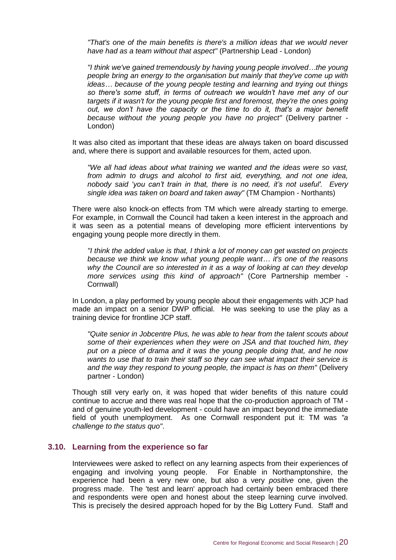*"That's one of the main benefits is there's a million ideas that we would never have had as a team without that aspect"* (Partnership Lead - London)

*"I think we've gained tremendously by having young people involved…the young people bring an energy to the organisation but mainly that they've come up with ideas… because of the young people testing and learning and trying out things so there's some stuff, in terms of outreach we wouldn't have met any of our targets if it wasn't for the young people first and foremost, they're the ones going out, we don't have the capacity or the time to do it, that's a major benefit because without the young people you have no project"* (Delivery partner - London)

It was also cited as important that these ideas are always taken on board discussed and, where there is support and available resources for them, acted upon.

*"We all had ideas about what training we wanted and the ideas were so vast, from admin to drugs and alcohol to first aid, everything, and not one idea, nobody said 'you can't train in that, there is no need, it's not useful'. Every single idea was taken on board and taken away"* (TM Champion - Northants)

There were also knock-on effects from TM which were already starting to emerge. For example, in Cornwall the Council had taken a keen interest in the approach and it was seen as a potential means of developing more efficient interventions by engaging young people more directly in them.

*"I think the added value is that, I think a lot of money can get wasted on projects because we think we know what young people want… it's one of the reasons why the Council are so interested in it as a way of looking at can they develop more services using this kind of approach"* (Core Partnership member - Cornwall)

In London, a play performed by young people about their engagements with JCP had made an impact on a senior DWP official. He was seeking to use the play as a training device for frontline JCP staff.

*"Quite senior in Jobcentre Plus, he was able to hear from the talent scouts about some of their experiences when they were on JSA and that touched him, they put on a piece of drama and it was the young people doing that, and he now wants to use that to train their staff so they can see what impact their service is and the way they respond to young people, the impact is has on them"* (Delivery partner - London)

Though still very early on, it was hoped that wider benefits of this nature could continue to accrue and there was real hope that the co-production approach of TM and of genuine youth-led development - could have an impact beyond the immediate field of youth unemployment. As one Cornwall respondent put it: TM was *"a challenge to the status quo"*.

#### <span id="page-24-0"></span>**3.10. Learning from the experience so far**

Interviewees were asked to reflect on any learning aspects from their experiences of engaging and involving young people. For Enable in Northamptonshire, the experience had been a very new one, but also a very *positive* one, given the progress made. The 'test and learn' approach had certainly been embraced there and respondents were open and honest about the steep learning curve involved. This is precisely the desired approach hoped for by the Big Lottery Fund. Staff and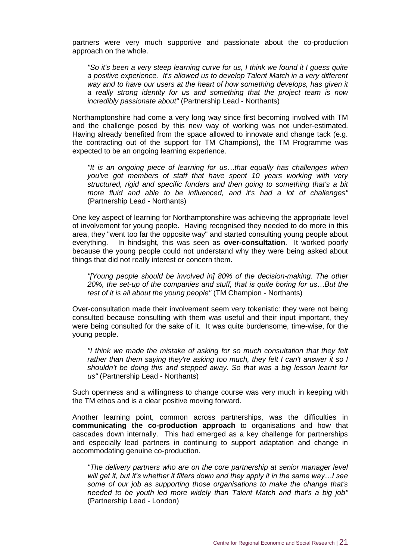partners were very much supportive and passionate about the co-production approach on the whole.

*"So it's been a very steep learning curve for us, I think we found it I guess quite a positive experience. It's allowed us to develop Talent Match in a very different way and to have our users at the heart of how something develops, has given it a really strong identity for us and something that the project team is now incredibly passionate about"* (Partnership Lead - Northants)

Northamptonshire had come a very long way since first becoming involved with TM and the challenge posed by this new way of working was not under-estimated. Having already benefited from the space allowed to innovate and change tack (e.g. the contracting out of the support for TM Champions), the TM Programme was expected to be an ongoing learning experience.

*"It is an ongoing piece of learning for us…that equally has challenges when you've got members of staff that have spent 10 years working with very structured, rigid and specific funders and then going to something that's a bit more fluid and able to be influenced, and it's had a lot of challenges"*  (Partnership Lead - Northants)

One key aspect of learning for Northamptonshire was achieving the appropriate level of involvement for young people. Having recognised they needed to do more in this area, they "went too far the opposite way" and started consulting young people about everything. In hindsight, this was seen as **over-consultation**. It worked poorly because the young people could not understand why they were being asked about things that did not really interest or concern them.

*"[Young people should be involved in] 80% of the decision-making. The other 20%, the set-up of the companies and stuff, that is quite boring for us…But the rest of it is all about the young people"* (TM Champion - Northants)

Over-consultation made their involvement seem very tokenistic: they were not being consulted because consulting with them was useful and their input important, they were being consulted for the sake of it. It was quite burdensome, time-wise, for the young people.

*"I think we made the mistake of asking for so much consultation that they felt rather than them saying they're asking too much, they felt I can't answer it so I shouldn't be doing this and stepped away. So that was a big lesson learnt for us"* (Partnership Lead - Northants)

Such openness and a willingness to change course was very much in keeping with the TM ethos and is a clear positive moving forward.

Another learning point, common across partnerships, was the difficulties in **communicating the co-production approach** to organisations and how that cascades down internally. This had emerged as a key challenge for partnerships and especially lead partners in continuing to support adaptation and change in accommodating genuine co-production.

*"The delivery partners who are on the core partnership at senior manager level will get it, but it's whether it filters down and they apply it in the same way…I see some of our job as supporting those organisations to make the change that's needed to be youth led more widely than Talent Match and that's a big job"*  (Partnership Lead - London)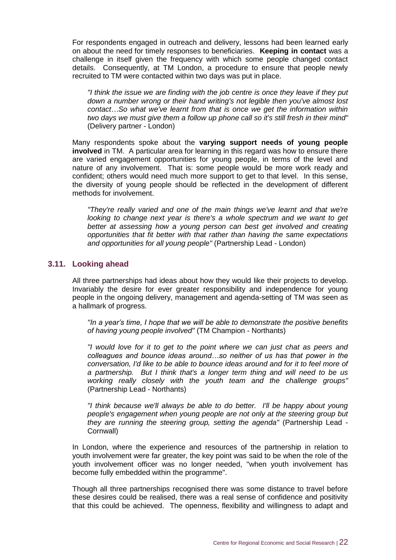For respondents engaged in outreach and delivery, lessons had been learned early on about the need for timely responses to beneficiaries. **Keeping in contact** was a challenge in itself given the frequency with which some people changed contact details. Consequently, at TM London, a procedure to ensure that people newly recruited to TM were contacted within two days was put in place.

*"I think the issue we are finding with the job centre is once they leave if they put down a number wrong or their hand writing's not legible then you've almost lost contact…So what we've learnt from that is once we get the information within two days we must give them a follow up phone call so it's still fresh in their mind"*  (Delivery partner - London)

Many respondents spoke about the **varying support needs of young people involved** in TM. A particular area for learning in this regard was how to ensure there are varied engagement opportunities for young people, in terms of the level and nature of any involvement. That is: some people would be more work ready and confident; others would need much more support to get to that level. In this sense, the diversity of young people should be reflected in the development of different methods for involvement.

*"They're really varied and one of the main things we've learnt and that we're looking to change next year is there's a whole spectrum and we want to get better at assessing how a young person can best get involved and creating opportunities that fit better with that rather than having the same expectations and opportunities for all young people"* (Partnership Lead - London)

#### <span id="page-26-0"></span>**3.11. Looking ahead**

All three partnerships had ideas about how they would like their projects to develop. Invariably the desire for ever greater responsibility and independence for young people in the ongoing delivery, management and agenda-setting of TM was seen as a hallmark of progress.

*"In a year's time, I hope that we will be able to demonstrate the positive benefits of having young people involved"* (TM Champion - Northants)

*"I would love for it to get to the point where we can just chat as peers and colleagues and bounce ideas around…so neither of us has that power in the conversation, I'd like to be able to bounce ideas around and for it to feel more of a partnership. But I think that's a longer term thing and will need to be us working really closely with the youth team and the challenge groups"*  (Partnership Lead - Northants)

*"I think because we'll always be able to do better. I'll be happy about young people's engagement when young people are not only at the steering group but they are running the steering group, setting the agenda"* (Partnership Lead - Cornwall)

In London, where the experience and resources of the partnership in relation to youth involvement were far greater, the key point was said to be when the role of the youth involvement officer was no longer needed, "when youth involvement has become fully embedded within the programme".

Though all three partnerships recognised there was some distance to travel before these desires could be realised, there was a real sense of confidence and positivity that this could be achieved. The openness, flexibility and willingness to adapt and